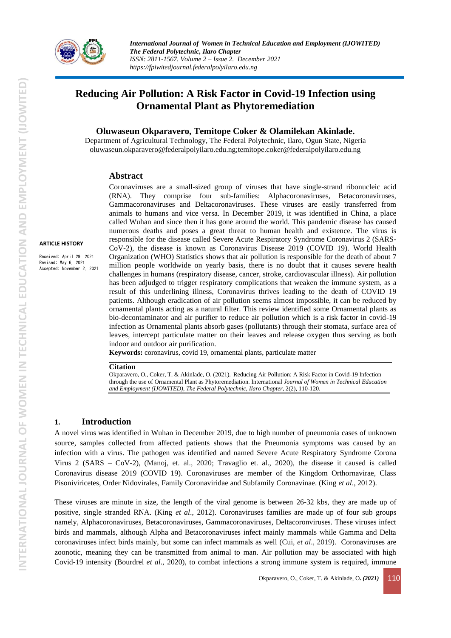

# **Reducing Air Pollution: A Risk Factor in Covid-19 Infection using Ornamental Plant as Phytoremediation**

**Oluwaseun Okparavero, Temitope Coker & Olamilekan Akinlade.**

Department of Agricultural Technology, The Federal Polytechnic, Ilaro, Ogun State, Nigeria [oluwaseun.okparavero@federalpolyilaro.edu.ng;temitope.coker@federalpolyilaro.edu.ng](mailto:oluwaseun.okparavero@federalpolyilaro.edu.ng;temitope.coker@federalpolyilaro.edu.ng)

#### **Abstract**

#### **ARTICLE HISTORY**

Received: April 29, 2021 Revised: May 6, 2021 Accepted: November 2, 2021

Coronaviruses are a small-sized group of viruses that have single-strand ribonucleic acid (RNA). They comprise four sub-families: Alphacoronaviruses, Betacoronaviruses, Gammacoronaviruses and Deltacoronaviruses. These viruses are easily transferred from animals to humans and vice versa. In December 2019, it was identified in China, a place called Wuhan and since then it has gone around the world. This pandemic disease has caused numerous deaths and poses a great threat to human health and existence. The virus is responsible for the disease called Severe Acute Respiratory Syndrome Coronavirus 2 (SARS-CoV-2), the disease is known as Coronavirus Disease 2019 (COVID 19). World Health Organization (WHO) Statistics shows that air pollution is responsible for the death of about 7 million people worldwide on yearly basis, there is no doubt that it causes severe health challenges in humans (respiratory disease, cancer, stroke, cardiovascular illness). Air pollution has been adjudged to trigger respiratory complications that weaken the immune system, as a result of this underlining illness, Coronavirus thrives leading to the death of COVID 19 patients. Although eradication of air pollution seems almost impossible, it can be reduced by ornamental plants acting as a natural filter. This review identified some Ornamental plants as bio-decontaminator and air purifier to reduce air pollution which is a risk factor in covid-19 infection as Ornamental plants absorb gases (pollutants) through their stomata, surface area of leaves, intercept particulate matter on their leaves and release oxygen thus serving as both indoor and outdoor air purification.

**Keywords:** coronavirus, covid 19, ornamental plants, particulate matter

#### **Citation**

Okparavero, O., Coker, T. & Akinlade, O. (2021). Reducing Air Pollution: A Risk Factor in Covid-19 Infection through the use of Ornamental Plant as Phytoremediation. International *Journal of Women in Technical Education and Employment (IJOWITED), The Federal Polytechnic, Ilaro Chapter*, 2(2), 110-120.

## **1. Introduction**

A novel virus was identified in Wuhan in December 2019, due to high number of pneumonia cases of unknown source, samples collected from affected patients shows that the Pneumonia symptoms was caused by an infection with a virus. The pathogen was identified and named Severe Acute Respiratory Syndrome Corona Virus 2 (SARS – CoV-2), (Manoj, et. al., 2020; Travaglio et. al., 2020), the disease it caused is called Coronavirus disease 2019 (COVID 19). Coronaviruses are member of the Kingdom Orthornavirae, Class Pisoniviricetes, Order Nidovirales, Family Coronaviridae and Subfamily Coronavinae. (King *et al*., 2012).

These viruses are minute in size, the length of the viral genome is between 26-32 kbs, they are made up of positive, single stranded RNA. (King *et al*., 2012). Coronaviruses families are made up of four sub groups namely, Alphacoronaviruses, Betacoronaviruses, Gammacoronaviruses, Deltacoronviruses. These viruses infect birds and mammals, although Alpha and Betacoronaviruses infect mainly mammals while Gamma and Delta coronaviruses infect birds mainly, but some can infect mammals as well (Cui, *et al*., 2019). Coronaviruses are zoonotic, meaning they can be transmitted from animal to man. Air pollution may be associated with high Covid-19 intensity (Bourdrel *et al*., 2020), to combat infections a strong immune system is required, immune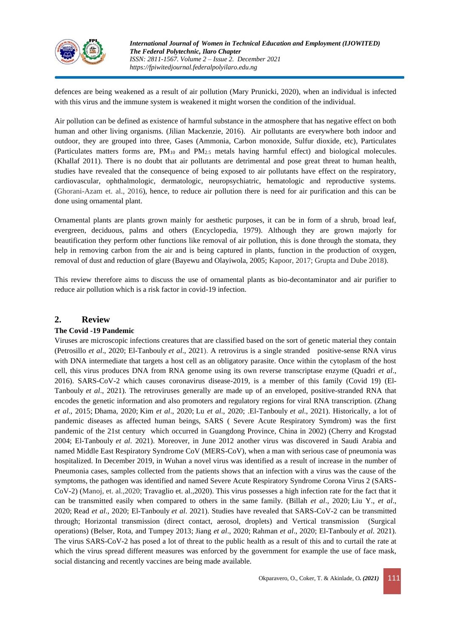

defences are being weakened as a result of air pollution (Mary Prunicki, 2020), when an individual is infected with this virus and the immune system is weakened it might worsen the condition of the individual.

Air pollution can be defined as existence of harmful substance in the atmosphere that has negative effect on both human and other living organisms. (Jilian Mackenzie, 2016). Air pollutants are everywhere both indoor and outdoor, they are grouped into three, Gases (Ammonia, Carbon monoxide, Sulfur dioxide, etc), Particulates (Particulates matters forms are, PM<sup>10</sup> and PM2.5 metals having harmful effect) and biological molecules. (Khallaf 2011). There is no doubt that air pollutants are detrimental and pose great threat to human health, studies have revealed that the consequence of being exposed to air pollutants have effect on the respiratory, cardiovascular, ophthalmologic, dermatologic, neuropsychiatric, hematologic and reproductive systems. (Ghorani-Azam et. al., 2016), hence, to reduce air pollution there is need for air purification and this can be done using ornamental plant.

Ornamental plants are plants grown mainly for aesthetic purposes, it can be in form of a shrub, broad leaf, evergreen, deciduous, palms and others (Encyclopedia, 1979). Although they are grown majorly for beautification they perform other functions like removal of air pollution, this is done through the stomata, they help in removing carbon from the air and is being captured in plants, function in the production of oxygen, removal of dust and reduction of glare (Bayewu and Olayiwola, 2005; Kapoor, 2017; Grupta and Dube 2018).

This review therefore aims to discuss the use of ornamental plants as bio-decontaminator and air purifier to reduce air pollution which is a risk factor in covid-19 infection.

## **2. Review**

## **The Covid -19 Pandemic**

Viruses are microscopic infections creatures that are classified based on the sort of genetic material they contain [\(Petrosillo](https://www.frontiersin.org/articles/10.3389/fmolb.2021.709395/full#B112) *et al*., 2020; [El-Tanbouly](https://www.frontiersin.org/people/u/1218484) *et al*., 2021). A retrovirus is a single stranded positive-sense RNA virus with DNA intermediate that targets a host cell as an obligatory parasite. Once within the cytoplasm of the host cell, this virus produces DNA from RNA genome using its own reverse transcriptase enzyme (Quadri *et al.*, 2016). SARS-CoV-2 which causes coronavirus disease-2019, is a member of this family (Covid 19) [\(El-](https://www.frontiersin.org/people/u/1218484)[Tanbouly](https://www.frontiersin.org/people/u/1218484) *et al*., 2021). The retroviruses generally are made up of an enveloped, positive-stranded RNA that encodes the genetic information and also promoters and regulatory regions for viral RNA transcription. [\(Zhang](https://www.frontiersin.org/articles/10.3389/fmolb.2021.709395/full#B158)  *et al*[., 2015;](https://www.frontiersin.org/articles/10.3389/fmolb.2021.709395/full#B158) [Dhama, 2020;](https://www.frontiersin.org/articles/10.3389/fmolb.2021.709395/full#B32) Kim *et al*[., 2020;](https://www.frontiersin.org/articles/10.3389/fmolb.2021.709395/full#B68) Lu *et al*[., 2020;](https://www.frontiersin.org/articles/10.3389/fmolb.2021.709395/full#B85) [.El-Tanbouly](https://www.frontiersin.org/people/u/1218484) *et al*., 2021). Historically, a lot of pandemic diseases as affected human beings, SARS ( Severe Acute Respiratory Symdrom) was the first pandemic of the 21st century which occurred in Guangdong Province, China in 2002) [\(Cherry and Krogstad](https://www.frontiersin.org/articles/10.3389/fmolb.2021.709395/full#B22)  [2004;](https://www.frontiersin.org/articles/10.3389/fmolb.2021.709395/full#B22) [El-Tanbouly](https://www.frontiersin.org/people/u/1218484) *et al*. 2021). Moreover, in June 2012 another virus was discovered in Saudi Arabia and named Middle East Respiratory Syndrome CoV (MERS-CoV), when a man with serious case of pneumonia was hospitalized. In December 2019, in Wuhan a novel virus was identified as a result of increase in the number of Pneumonia cases, samples collected from the patients shows that an infection with a virus was the cause of the symptoms, the pathogen was identified and named Severe Acute Respiratory Syndrome Corona Virus 2 (SARS-CoV-2) (Manoj, et. al.,2020; Travaglio et. al.,2020). This virus possesses a high infection rate for the fact that it can be transmitted easily when compared to others in the same family. (Billah *et al*[., 2020;](https://www.frontiersin.org/articles/10.3389/fmolb.2021.709395/full#B18) [Liu Y.,](https://www.frontiersin.org/articles/10.3389/fmolb.2021.709395/full#B83) *et al*., [2020;](https://www.frontiersin.org/articles/10.3389/fmolb.2021.709395/full#B83) Read *et al*[., 2020;](https://www.frontiersin.org/articles/10.3389/fmolb.2021.709395/full#B119) [El-Tanbouly](https://www.frontiersin.org/people/u/1218484) *et al*. 2021). Studies have revealed that SARS-CoV-2 can be transmitted through; Horizontal transmission (direct contact, aerosol, droplets) and Vertical transmission (Surgical operations) [\(Belser, Rota, and Tumpey 2013;](https://www.frontiersin.org/articles/10.3389/fmolb.2021.709395/full#B9) Jiang *et al*[., 2020;](https://www.frontiersin.org/articles/10.3389/fmolb.2021.709395/full#B61) [Rahman](https://www.frontiersin.org/articles/10.3389/fmolb.2021.709395/full#B117) *et al*., 2020; [El-Tanbouly](https://www.frontiersin.org/people/u/1218484) *et al*. 2021). The virus SARS-CoV-2 has posed a lot of threat to the public health as a result of this and to curtail the rate at which the virus spread different measures was enforced by the government for example the use of face mask, social distancing and recently vaccines are being made available.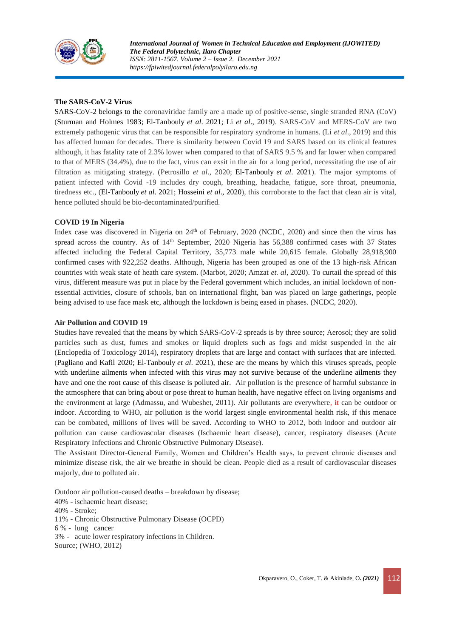

*International Journal of Women in Technical Education and Employment (IJOWITED) The Federal Polytechnic, Ilaro Chapter ISSN: 2811-1567. Volume 2 – Issue 2. December 2021 https://fpiwitedjournal.federalpolyilaro.edu.ng*

## **The SARS-CoV-2 Virus**

SARS-CoV-2 belongs to the coronaviridae family are a made up of positive-sense, single stranded RNA (CoV) [\(Sturman and Holmes 1983;](https://www.frontiersin.org/articles/10.3389/fmolb.2021.709395/full#B138) [El-Tanbouly](https://www.frontiersin.org/people/u/1218484) *et al*. 2021; Li *et al*., 2019). SARS-CoV and MERS-CoV are two extremely pathogenic virus that can be responsible for respiratory syndrome in humans. (Li *et al*., 2019) and this has affected human for decades. There is similarity between Covid 19 and SARS based on its clinical features although, it has fatality rate of 2.3% lower when compared to that of SARS 9.5 % and far lower when compared to that of MERS (34.4%), due to the fact, virus can exsit in the air for a long period, necessitating the use of air filtration as mitigating strategy. (Petrosillo *et al*., 2020; [El-Tanbouly](https://www.frontiersin.org/people/u/1218484) *et al*. 2021). The major symptoms of patient infected with Covid -19 includes dry cough, breathing, headache, fatigue, sore throat, pneumonia, tiredness etc., [\(El-Tanbouly](https://www.frontiersin.org/people/u/1218484) *et al*. 2021; Hosseini *et al*., 2020), this corroborate to the fact that clean air is vital, hence polluted should be bio-decontaminated/purified.

### **COVID 19 In Nigeria**

Index case was discovered in Nigeria on 24<sup>th</sup> of February, 2020 (NCDC, 2020) and since then the virus has spread across the country. As of  $14<sup>th</sup>$  September, 2020 Nigeria has 56,388 confirmed cases with 37 States affected including the Federal Capital Territory, 35,773 male while 20,615 female. Globally 28,918,900 confirmed cases with 922,252 deaths. Although, Nigeria has been grouped as one of the 13 high-risk African countries with weak state of heath care system. (Marbot, 2020; Amzat *et. al*, 2020). To curtail the spread of this virus, different measure was put in place by the Federal government which includes, an initial lockdown of nonessential activities, closure of schools, ban on international flight, ban was placed on large gatherings, people being advised to use face mask etc, although the lockdown is being eased in phases. (NCDC, 2020).

#### **Air Pollution and COVID 19**

Studies have revealed that the means by which SARS-CoV-2 spreads is by three source; Aerosol; they are solid particles such as dust, fumes and smokes or liquid droplets such as fogs and midst suspended in the air (Enclopedia of Toxicology 2014), respiratory droplets that are large and contact with surfaces that are infected. [\(Pagliano and Kafil 2020;](https://www.frontiersin.org/articles/10.3389/fmolb.2021.709395/full#B105) [El-Tanbouly](https://www.frontiersin.org/people/u/1218484) *et al*. 2021), these are the means by which this viruses spreads, people with underline ailments when infected with this virus may not survive because of the underline ailments they have and one the root cause of this disease is polluted air. Air pollution is the presence of harmful substance in the atmosphere that can bring about or pose threat to human health, have negative effect on living organisms and the environment at large (Admassu, and Wubeshet, 2011). Air pollutants are everywhere, it can be outdoor or indoor. According to WHO, air pollution is the world largest single environmental health risk, if this menace can be combated, millions of lives will be saved. According to WHO to 2012, both indoor and outdoor air pollution can cause cardiovascular diseases (Ischaemic heart disease), cancer, respiratory diseases (Acute Respiratory Infections and Chronic Obstructive Pulmonary Disease).

The Assistant Director-General Family, Women and Children's Health says, to prevent chronic diseases and minimize disease risk, the air we breathe in should be clean. People died as a result of cardiovascular diseases majorly, due to polluted air.

Outdoor air pollution-caused deaths – breakdown by disease;

40% - ischaemic heart disease;

40% - Stroke;

11% - Chronic Obstructive Pulmonary Disease (OCPD)

6 % - lung cancer

3% - acute lower respiratory infections in Children.

Source; (WHO, 2012)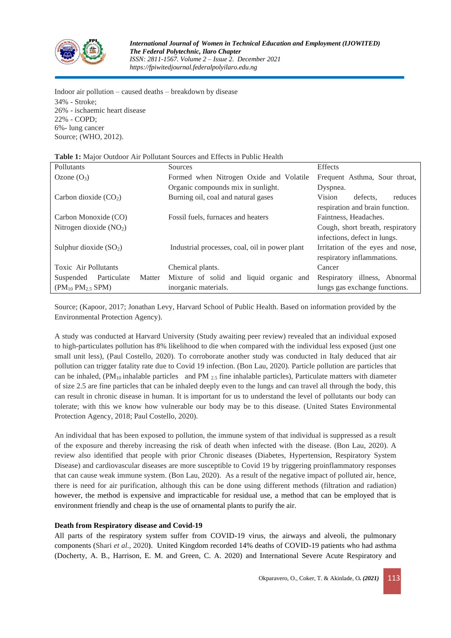

Indoor air pollution – caused deaths – breakdown by disease 34% - Stroke; 26% - ischaemic heart disease 22% - COPD; 6%- lung cancer Source; (WHO, 2012).

| <b>Table 1.</b> Major Outdoor The Pondually Bources and Effects in Fublic Health |        |                                                |                                  |  |  |  |  |
|----------------------------------------------------------------------------------|--------|------------------------------------------------|----------------------------------|--|--|--|--|
| Pollutants                                                                       |        | Sources                                        | <b>Effects</b>                   |  |  |  |  |
| Ozone $(O_3)$                                                                    |        | Formed when Nitrogen Oxide and Volatile        | Frequent Asthma, Sour throat,    |  |  |  |  |
|                                                                                  |        | Organic compounds mix in sunlight.             | Dyspnea.                         |  |  |  |  |
| Carbon dioxide $(CO2)$                                                           |        | Burning oil, coal and natural gases            | Vision<br>defects.<br>reduces    |  |  |  |  |
|                                                                                  |        |                                                | respiration and brain function.  |  |  |  |  |
| Carbon Monoxide (CO)                                                             |        | Fossil fuels, furnaces and heaters             | Faintness, Headaches.            |  |  |  |  |
| Nitrogen dioxide $(NO2)$                                                         |        |                                                | Cough, short breath, respiratory |  |  |  |  |
| Sulphur dioxide $(SO2)$                                                          |        |                                                | infections, defect in lungs.     |  |  |  |  |
|                                                                                  |        | Industrial processes, coal, oil in power plant | Irritation of the eyes and nose, |  |  |  |  |
|                                                                                  |        |                                                | respiratory inflammations.       |  |  |  |  |
| Toxic Air Pollutants                                                             |        | Chemical plants.                               | Cancer                           |  |  |  |  |
| Particulate<br>Suspended                                                         | Matter | Mixture of solid and liquid organic and        | Respiratory illness, Abnormal    |  |  |  |  |
| $(PM_{10} PM_{2.5} SPM)$                                                         |        | inorganic materials.                           | lungs gas exchange functions.    |  |  |  |  |

**Table 1:** Major Outdoor Air Pollutant Sources and Effects in Public Health

Source; (Kapoor, 2017; Jonathan Levy, Harvard School of Public Health. Based on information provided by the Environmental Protection Agency).

A study was conducted at Harvard University (Study awaiting peer review) revealed that an individual exposed to high-particulates pollution has 8% likelihood to die when compared with the individual less exposed (just one small unit less), (Paul Costello, 2020). To corroborate another study was conducted in Italy deduced that air pollution can trigger fatality rate due to Covid 19 infection. (Bon Lau, 2020). Particle pollution are particles that can be inhaled,  $(PM_{10}$  inhalable particles and PM  $_{2.5}$  fine inhalable particles), Particulate matters with diameter of size 2.5 are fine particles that can be inhaled deeply even to the lungs and can travel all through the body, this can result in chronic disease in human. It is important for us to understand the level of pollutants our body can tolerate; with this we know how vulnerable our body may be to this disease. (United States Environmental Protection Agency, 2018; Paul Costello, 2020).

An individual that has been exposed to pollution, the immune system of that individual is suppressed as a result of the exposure and thereby increasing the risk of death when infected with the disease. (Bon Lau, 2020). A review also identified that people with prior Chronic diseases (Diabetes, Hypertension, Respiratory System Disease) and cardiovascular diseases are more susceptible to Covid 19 by triggering proinflammatory responses that can cause weak immune system. (Bon Lau, 2020). As a result of the negative impact of polluted air, hence, there is need for air purification, although this can be done using different methods (filtration and radiation) however, the method is expensive and impracticable for residual use, a method that can be employed that is environment friendly and cheap is the use of ornamental plants to purify the air.

## **Death from Respiratory disease and Covid-19**

All parts of the respiratory system suffer from COVID-19 virus, the airways and alveoli, the pulmonary components (Shari *et al.,* 2020**)**. United Kingdom recorded 14% deaths of COVID-19 patients who had asthma (Docherty, A. B., Harrison, E. M. and Green, C. A. 2020) and International Severe Acute Respiratory and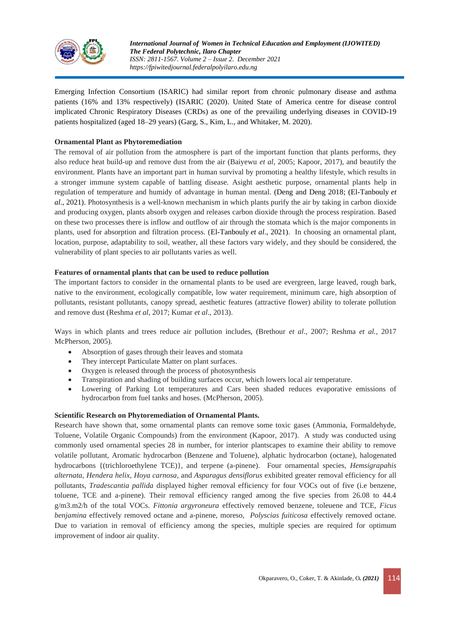

Emerging Infection Consortium (ISARIC) had similar report from chronic pulmonary disease and asthma patients (16% and 13% respectively) (ISARIC (2020). United State of America centre for disease control implicated Chronic Respiratory Diseases (CRDs) as one of the prevailing underlying diseases in COVID-19 patients hospitalized (aged 18–29 years) (Garg, S., Kim, L., and Whitaker, M. 2020).

## **Ornamental Plant as Phytoremediation**

The removal of air pollution from the atmosphere is part of the important function that plants performs, they also reduce heat build-up and remove dust from the air (Baiyewu *et al*, 2005; Kapoor, 2017), and beautify the environment. Plants have an important part in human survival by promoting a healthy lifestyle, which results in a stronger immune system capable of battling disease. Asight aesthetic purpose, ornamental plants help in regulation of temperature and humidy of advantage in human mental. (Deng [and Deng 2018;](https://www.frontiersin.org/articles/10.3389/fmolb.2021.709395/full#B30) [\(El-Tanbouly](https://www.frontiersin.org/people/u/1218484) *et al*., 2021). Photosynthesis is a well-known mechanism in which plants purify the air by taking in carbon dioxide and producing oxygen, plants absorb oxygen and releases carbon dioxide through the process respiration. Based on these two processes there is inflow and outflow of air through the stomata which is the major components in plants, used for absorption and filtration process. [\(El-Tanbouly](https://www.frontiersin.org/people/u/1218484) *et al*., 2021). In choosing an ornamental plant, location, purpose, adaptability to soil, weather, all these factors vary widely, and they should be considered, the vulnerability of plant species to air pollutants varies as well.

## **Features of ornamental plants that can be used to reduce pollution**

The important factors to consider in the ornamental plants to be used are evergreen, large leaved, rough bark, native to the environment, ecologically compatible, low water requirement, minimum care, high absorption of pollutants, resistant pollutants, canopy spread, aesthetic features (attractive flower) ability to tolerate pollution and remove dust (Reshma *et al*, 2017; Kumar *et al*., 2013).

Ways in which plants and trees reduce air pollution includes, (Brethour *et al*., 2007; Reshma *et al.,* 2017 McPherson, 2005).

- Absorption of gases through their leaves and stomata
- They intercept Particulate Matter on plant surfaces.
- Oxygen is released through the process of photosynthesis
- Transpiration and shading of building surfaces occur, which lowers local air temperature.
- Lowering of Parking Lot temperatures and Cars been shaded reduces evaporative emissions of hydrocarbon from fuel tanks and hoses. (McPherson, 2005).

## **Scientific Research on Phytoremediation of Ornamental Plants.**

Research have shown that, some ornamental plants can remove some toxic gases (Ammonia, Formaldehyde, Toluene, Volatile Organic Compounds) from the environment (Kapoor, 2017). A study was conducted using commonly used ornamental species 28 in number, for interior plantscapes to examine their ability to remove volatile pollutant, Aromatic hydrocarbon (Benzene and Toluene), alphatic hydrocarbon (octane), halogenated hydrocarbons {(trichloroethylene TCE)}, and terpene (a-pinene). Four ornamental species, *Hemsigrapahis alternata*, *Hendera helix*, *Hoya carnosa*, and *Asparagus densiflorus* exhibited greater removal efficiency for all pollutants, *Tradescantia pallida* displayed higher removal efficiency for four VOCs out of five (i.e benzene, toluene, TCE and a-pinene). Their removal efficiency ranged among the five species from 26.08 to 44.4 g/m3.m2/h of the total VOCs. *Fittonia argyroneura* effectively removed benzene, toleuene and TCE, *Ficus benjamina* effectively removed octane and a-pinene, moreso, *Polyscias fuiticosa* effectively removed octane. Due to variation in removal of efficiency among the species, multiple species are required for optimum improvement of indoor air quality.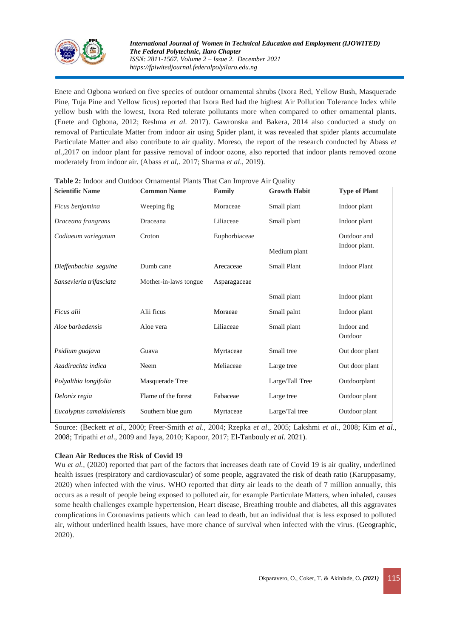

Enete and Ogbona worked on five species of outdoor ornamental shrubs (Ixora Red, Yellow Bush, Masquerade Pine, Tuja Pine and Yellow ficus) reported that Ixora Red had the highest Air Pollution Tolerance Index while yellow bush with the lowest, Ixora Red tolerate pollutants more when compared to other ornamental plants. (Enete and Ogbona, 2012; Reshma *et al.* 2017). Gawronska and Bakera, 2014 also conducted a study on removal of Particulate Matter from indoor air using Spider plant, it was revealed that spider plants accumulate Particulate Matter and also contribute to air quality. Moreso, the report of the research conducted by Abass *et al.,*2017 on indoor plant for passive removal of indoor ozone, also reported that indoor plants removed ozone moderately from indoor air. (Abass *et al*,. 2017; Sharma *et al*., 2019).

| <b>Scientific Name</b>   | <b>Common Name</b>    | Family        | <b>Growth Habit</b> | <b>Type of Plant</b>  |
|--------------------------|-----------------------|---------------|---------------------|-----------------------|
| Ficus benjamina          | Weeping fig.          | Moraceae      | Small plant         | Indoor plant          |
| Draceana frangrans       | Draceana              | Liliaceae     | Small plant         | Indoor plant          |
| Codiaeum variegatum      | Croton                | Euphorbiaceae |                     | Outdoor and           |
|                          |                       |               | Medium plant        | Indoor plant.         |
| Dieffenbachia seguine    | Dumb cane             | Arecaceae     | Small Plant         | <b>Indoor Plant</b>   |
| Sansevieria trifasciata  | Mother-in-laws tongue | Asparagaceae  |                     |                       |
|                          |                       |               | Small plant         | Indoor plant          |
| Ficus alii               | Alii ficus            | Moraeae       | Small palnt         | Indoor plant          |
| Aloe barbadensis         | Aloe vera             | Liliaceae     | Small plant         | Indoor and<br>Outdoor |
| Psidium guajava          | Guava                 | Myrtaceae     | Small tree          | Out door plant        |
| Azadirachta indica       | Neem                  | Meliaceae     | Large tree          | Out door plant        |
| Polyalthia longifolia    | Masquerade Tree       |               | Large/Tall Tree     | Outdoorplant          |
| Delonix regia            | Flame of the forest   | Fabaceae      | Large tree          | Outdoor plant         |
| Eucalyptus camaldulensis | Southern blue gum     | Myrtaceae     | Large/Tal tree      | Outdoor plant         |

Source: (Beckett *et al*., 2000; Freer-Smith *et al*., 2004; Rzepka *et al*., 2005; Lakshmi *et al*., 2008; Kim *et al*., 2008; Tripathi *et al*., 2009 and Jaya, 2010; Kapoor, 2017; [El-Tanbouly](https://www.frontiersin.org/people/u/1218484) *et al*. 2021).

## **Clean Air Reduces the Risk of Covid 19**

Wu *et al.*, (2020) reported that part of the factors that increases death rate of Covid 19 is air quality, underlined health issues (respiratory and cardiovascular) of some people, aggravated the risk of death ratio (Karuppasamy, 2020) when infected with the virus. WHO reported that dirty air leads to the death of 7 million annually, this occurs as a result of people being exposed to polluted air, for example Particulate Matters, when inhaled, causes some health challenges example hypertension, Heart disease, Breathing trouble and diabetes, all this aggravates complications in Coronavirus patients which can lead to death, but an individual that is less exposed to polluted air, without underlined health issues, have more chance of survival when infected with the virus. (Geographic, 2020).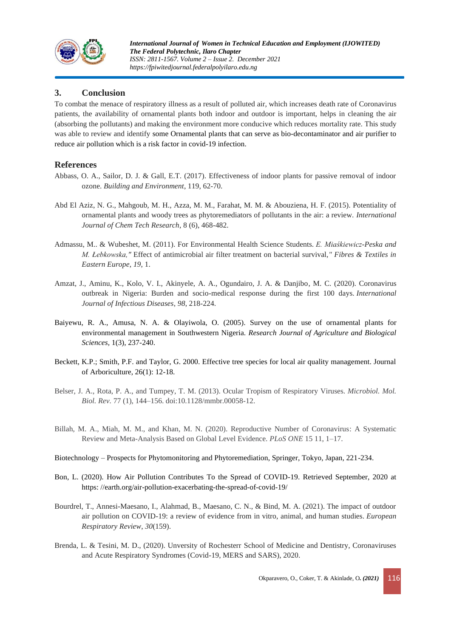

## **3. Conclusion**

To combat the menace of respiratory illness as a result of polluted air, which increases death rate of Coronavirus patients, the availability of ornamental plants both indoor and outdoor is important, helps in cleaning the air (absorbing the pollutants) and making the environment more conducive which reduces mortality rate. This study was able to review and identify some Ornamental plants that can serve as bio-decontaminator and air purifier to reduce air pollution which is a risk factor in covid-19 infection.

## **References**

- Abbass, O. A., Sailor, D. J. & Gall, E.T. (2017). Effectiveness of indoor plants for passive removal of indoor ozone. *Building and Environment*, 119, 62-70.
- Abd El Aziz, N. G., Mahgoub, M. H., Azza, M. M., Farahat, M. M. & Abouziena, H. F. (2015). Potentiality of ornamental plants and woody trees as phytoremediators of pollutants in the air: a review. *International Journal of Chem Tech Research*, 8 (6), 468-482.
- Admassu, M.. & Wubeshet, M. (2011). For Environmental Health Science Students. *E. Miaśkiewicz-Peska and M. Łebkowska,"* Effect of antimicrobial air filter treatment on bacterial survival,*" Fibres & Textiles in Eastern Europe*, *19*, 1.
- Amzat, J., Aminu, K., Kolo, V. I., Akinyele, A. A., Ogundairo, J. A. & Danjibo, M. C. (2020). Coronavirus outbreak in Nigeria: Burden and socio-medical response during the first 100 days. *International Journal of Infectious Diseases*, *98*, 218-224.
- Baiyewu, R. A., Amusa, N. A. & Olayiwola, O. (2005). Survey on the use of ornamental plants for environmental management in Southwestern Nigeria. *Research Journal of Agriculture and Biological Sciences,* 1(3), 237-240.
- Beckett, K.P.; Smith, P.F. and Taylor, G. 2000. Effective tree species for local air quality management. Journal of Arboriculture, 26(1): 12-18.
- Belser, J. A., Rota, P. A., and Tumpey, T. M. (2013). Ocular Tropism of Respiratory Viruses. *Microbiol. Mol. Biol. Rev.* 77 (1), 144–156. doi:10.1128/mmbr.00058-12.
- Billah, M. A., Miah, M. M., and Khan, M. N. (2020). Reproductive Number of Coronavirus: A Systematic Review and Meta-Analysis Based on Global Level Evidence. *PLoS ONE* 15 11, 1–17.
- Biotechnology Prospects for Phytomonitoring and Phytoremediation, Springer, Tokyo, Japan, 221-234.
- Bon, L. (2020). How Air Pollution Contributes To the Spread of COVID-19. Retrieved September, 2020 at https: //earth.org/air-pollution-exacerbating-the-spread-of-covid-19/
- Bourdrel, T., Annesi-Maesano, I., Alahmad, B., Maesano, C. N., & Bind, M. A. (2021). The impact of outdoor air pollution on COVID-19: a review of evidence from in vitro, animal, and human studies. *European Respiratory Review*, *30*(159).
- Brenda, L. & Tesini, M. D., (2020). Unversity of Rochesterr School of Medicine and Dentistry, Coronaviruses and Acute Respiratory Syndromes (Covid-19, MERS and SARS), 2020.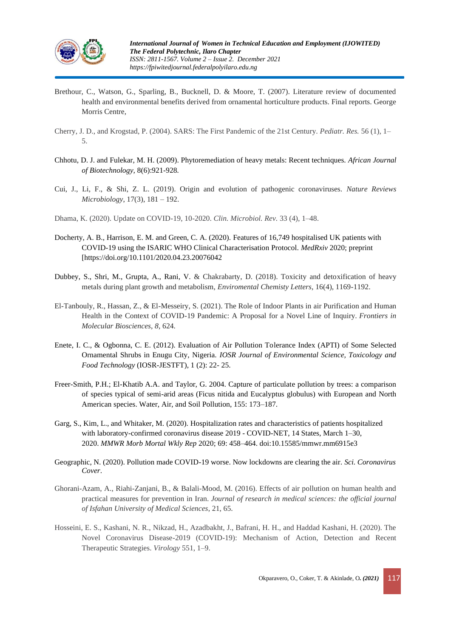

- Brethour, C., Watson, G., Sparling, B., Bucknell, D. & Moore, T. (2007). Literature review of documented health and environmental benefits derived from ornamental horticulture products. Final reports. George Morris Centre,
- Cherry, J. D., and Krogstad, P. (2004). SARS: The First Pandemic of the 21st Century. *Pediatr. Res.* 56 (1), 1– 5.
- Chhotu, D. J. and Fulekar, M. H. (2009). Phytoremediation of heavy metals: Recent techniques. *African Journal of Biotechnology,* 8(6):921-928*.*
- Cui, J., Li, F., & Shi, Z. L. (2019). Origin and evolution of pathogenic coronaviruses. *Nature Reviews Microbiology*, 17(3), 181 – 192.
- Dhama, K. (2020). Update on COVID-19, 10-2020. *Clin. Microbiol. Rev.* 33 (4), 1–48.
- Docherty, A. B., Harrison, E. M. and Green, C. A. (2020). Features of 16,749 hospitalised UK patients with COVID-19 using the ISARIC WHO Clinical Characterisation Protocol. *MedRxiv* 2020; preprint [https://doi.org/10.1101/2020.04.23.20076042
- Dubbey, S., Shri, M., Grupta, A., Rani, V. & Chakrabarty, D. (2018). Toxicity and detoxification of heavy metals during plant growth and metabolism, *Enviromental Chemisty Letters*, 16(4), 1169-1192.
- El-Tanbouly, R., Hassan, Z., & El-Messeiry, S. (2021). The Role of Indoor Plants in air Purification and Human Health in the Context of COVID-19 Pandemic: A Proposal for a Novel Line of Inquiry. *Frontiers in Molecular Biosciences*, *8*, 624.
- Enete, I. C., & Ogbonna, C. E. (2012). Evaluation of Air Pollution Tolerance Index (APTI) of Some Selected Ornamental Shrubs in Enugu City, Nigeria. *IOSR Journal of Environmental Science, Toxicology and Food Technology* (IOSR-JESTFT), 1 (2): 22- 25.
- Freer-Smith, P.H.; El-Khatib A.A. and Taylor, G. 2004. Capture of particulate pollution by trees: a comparison of species typical of semi-arid areas (Ficus nitida and Eucalyptus globulus) with European and North American species. Water, Air, and Soil Pollution, 155: 173–187.
- Garg, S., Kim, L., and Whitaker, M. (2020). Hospitalization rates and characteristics of patients hospitalized with laboratory-confirmed coronavirus disease 2019 - COVID-NET, 14 States, March 1–30, 2020. *MMWR Morb Mortal Wkly Rep* 2020; 69: 458–464. doi:10.15585/mmwr.mm6915e3
- Geographic, N. (2020). Pollution made COVID-19 worse. Now lockdowns are clearing the air. *Sci. Coronavirus Cover*.
- Ghorani-Azam, A., Riahi-Zanjani, B., & Balali-Mood, M. (2016). Effects of air pollution on human health and practical measures for prevention in Iran. *Journal of research in medical sciences: the official journal of Isfahan University of Medical Sciences*, 21, 65.
- Hosseini, E. S., Kashani, N. R., Nikzad, H., Azadbakht, J., Bafrani, H. H., and Haddad Kashani, H. (2020). The Novel Coronavirus Disease-2019 (COVID-19): Mechanism of Action, Detection and Recent Therapeutic Strategies. *Virology* 551, 1–9.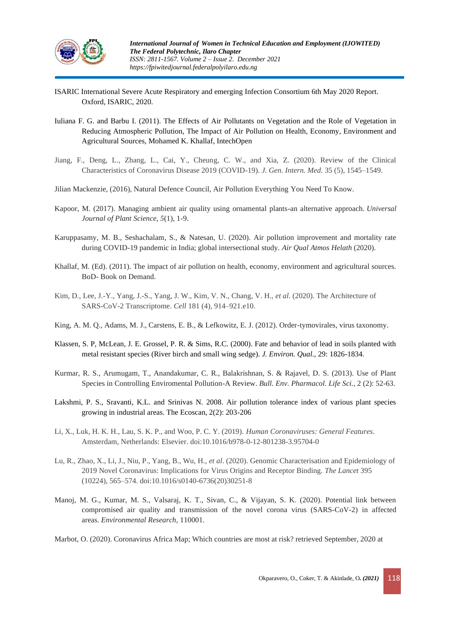

- ISARIC International Severe Acute Respiratory and emerging Infection Consortium 6th May 2020 Report. Oxford, ISARIC, 2020.
- Iuliana F. G. and Barbu I. (2011). The Effects of Air Pollutants on Vegetation and the Role of Vegetation in Reducing Atmospheric Pollution, The Impact of Air Pollution on Health, Economy, Environment and Agricultural Sources, Mohamed K. Khallaf, IntechOpen
- Jiang, F., Deng, L., Zhang, L., Cai, Y., Cheung, C. W., and Xia, Z. (2020). Review of the Clinical Characteristics of Coronavirus Disease 2019 (COVID-19). *J. Gen. Intern. Med.* 35 (5), 1545–1549.
- Jilian Mackenzie, (2016), Natural Defence Council, Air Pollution Everything You Need To Know.
- Kapoor, M. (2017). Managing ambient air quality using ornamental plants-an alternative approach. *Universal Journal of Plant Science*, *5*(1), 1-9.
- Karuppasamy, M. B., Seshachalam, S., & Natesan, U. (2020). Air pollution improvement and mortality rate during COVID-19 pandemic in India; global intersectional study. *Air Qual Atmos Helath* (2020).
- Khallaf, M. (Ed). (2011). The impact of air pollution on health, economy, environment and agricultural sources. BoD- Book on Demand.
- Kim, D., Lee, J.-Y., Yang, J.-S., Yang, J. W., Kim, V. N., Chang, V. H., *et al*. (2020). The Architecture of SARS-CoV-2 Transcriptome. *Cell* 181 (4), 914–921.e10.
- King, A. M. Q., Adams, M. J., Carstens, E. B., & Lefkowitz, E. J. (2012). Order-tymovirales, virus taxonomy.
- Klassen, S. P, McLean, J. E. Grossel, P. R. & Sims, R.C. (2000). Fate and behavior of lead in soils planted with metal resistant species (River birch and small wing sedge). *J. Environ. Qual.,* 29: 1826-1834.
- Kurmar, R. S., Arumugam, T., Anandakumar, C. R., Balakrishnan, S. & Rajavel, D. S. (2013). Use of Plant Species in Controlling Enviromental Pollution-A Review. *Bull. Env. Pharmacol. Life Sci.,* 2 (2): 52-63.
- Lakshmi, P. S., Sravanti, K.L. and Srinivas N. 2008. Air pollution tolerance index of various plant species growing in industrial areas. The Ecoscan, 2(2): 203-206
- Li, X., Luk, H. K. H., Lau, S. K. P., and Woo, P. C. Y. (2019). *Human Coronaviruses: General Features*. Amsterdam, Netherlands: Elsevier. doi:10.1016/b978-0-12-801238-3.95704-0
- Lu, R., Zhao, X., Li, J., Niu, P., Yang, B., Wu, H., *et al*. (2020). Genomic Characterisation and Epidemiology of 2019 Novel Coronavirus: Implications for Virus Origins and Receptor Binding. *The Lancet* 395 (10224), 565–574. doi:10.1016/s0140-6736(20)30251-8
- Manoj, M. G., Kumar, M. S., Valsaraj, K. T., Sivan, C., & Vijayan, S. K. (2020). Potential link between compromised air quality and transmission of the novel corona virus (SARS-CoV-2) in affected areas. *Environmental Research*, 110001.
- Marbot, O. (2020). Coronavirus Africa Map; Which countries are most at risk? retrieved September, 2020 at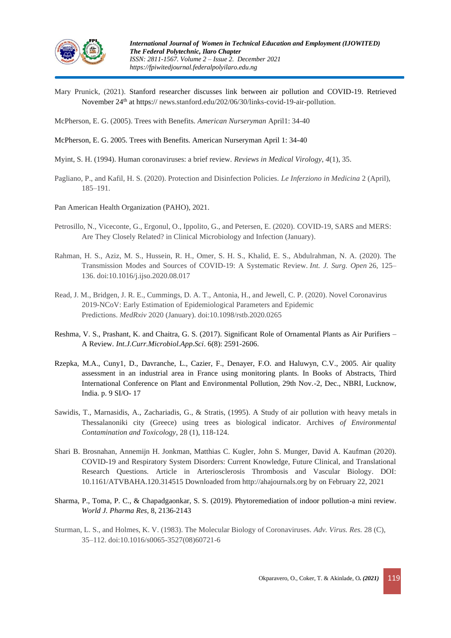

- Mary Prunick, (2021). Stanford researcher discusses link between air pollution and COVID-19. Retrieved November 24<sup>th</sup> at https:// news.stanford.edu/202/06/30/links-covid-19-air-pollution.
- McPherson, E. G. (2005). Trees with Benefits. *American Nurseryman* April1: 34-40
- McPherson, E. G. 2005. Trees with Benefits. American Nurseryman April 1: 34-40
- Myint, S. H. (1994). Human coronaviruses: a brief review. *Reviews in Medical Virology*, *4*(1), 35.
- Pagliano, P., and Kafil, H. S. (2020). Protection and Disinfection Policies. *Le Inferziono in Medicina* 2 (April), 185–191.
- Pan American Health Organization (PAHO), 2021.
- Petrosillo, N., Viceconte, G., Ergonul, O., Ippolito, G., and Petersen, E. (2020). COVID-19, SARS and MERS: Are They Closely Related? in Clinical Microbiology and Infection (January).
- Rahman, H. S., Aziz, M. S., Hussein, R. H., Omer, S. H. S., Khalid, E. S., Abdulrahman, N. A. (2020). The Transmission Modes and Sources of COVID-19: A Systematic Review. *Int. J. Surg. Open* 26, 125– 136. doi:10.1016/j.ijso.2020.08.017
- Read, J. M., Bridgen, J. R. E., Cummings, D. A. T., Antonia, H., and Jewell, C. P. (2020). Novel Coronavirus 2019-NCoV: Early Estimation of Epidemiological Parameters and Epidemic Predictions. *MedRxiv* 2020 (January). doi:10.1098/rstb.2020.0265
- Reshma, V. S., Prashant, K. and Chaitra, G. S. (2017). Significant Role of Ornamental Plants as Air Purifiers A Review*. Int.J.Curr.Microbiol.App.Sci*. 6(8): 2591-2606.
- Rzepka, M.A., Cuny1, D., Davranche, L., Cazier, F., Denayer, F.O. and Haluwyn, C.V., 2005. Air quality assessment in an industrial area in France using monitoring plants. In Books of Abstracts, Third International Conference on Plant and Environmental Pollution, 29th Nov.-2, Dec., NBRI, Lucknow, India. p. 9 SI/O- 17
- Sawidis, T., Marnasidis, A., Zachariadis, G., & Stratis, (1995). A Study of air pollution with heavy metals in Thessalanoniki city (Greece) using trees as biological indicator. Archives *of Environmental Contamination and Toxicology*, 28 (1), 118-124.
- Shari B. Brosnahan, Annemijn H. Jonkman, Matthias C. Kugler, John S. Munger, David A. Kaufman (2020). COVID-19 and Respiratory System Disorders: Current Knowledge, Future Clinical, and Translational Research Questions. Article in Arteriosclerosis Thrombosis and Vascular Biology. DOI: 10.1161/ATVBAHA.120.314515 Downloaded from http://ahajournals.org by on February 22, 2021
- Sharma, P., Toma, P. C., & Chapadgaonkar, S. S. (2019). Phytoremediation of indoor pollution-a mini review. *World J. Pharma Res,* 8, 2136-2143
- Sturman, L. S., and Holmes, K. V. (1983). The Molecular Biology of Coronaviruses. *Adv. Virus. Res.* 28 (C), 35–112. doi:10.1016/s0065-3527(08)60721-6